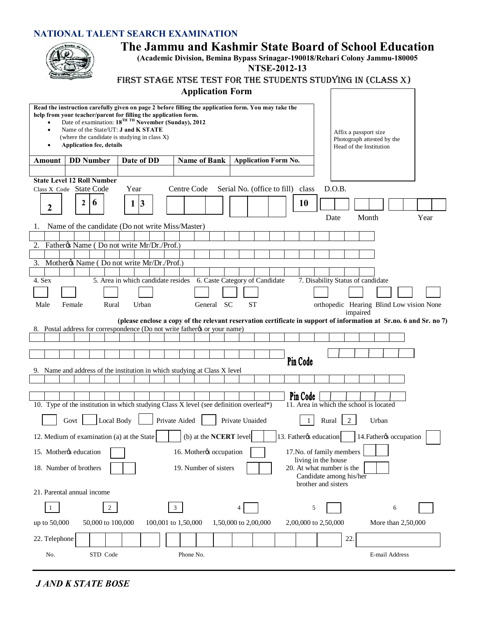# **NATIONAL TALENT SEARCH EXAMINATION**

|                                                                                                                                                                                                                                                                                                                                                                                         |                                                              |            |                   | The Jammu and Kashmir State Board of School Education<br>(Academic Division, Bemina Bypass Srinagar-190018/Rehari Colony Jammu-180005<br><b>NTSE-2012-13</b> |                     |                                                                   |                |             |                               |                                                                                |   |                                   |  |  |                           |   |        |     |       |                                         |   |                         |      |  |
|-----------------------------------------------------------------------------------------------------------------------------------------------------------------------------------------------------------------------------------------------------------------------------------------------------------------------------------------------------------------------------------------|--------------------------------------------------------------|------------|-------------------|--------------------------------------------------------------------------------------------------------------------------------------------------------------|---------------------|-------------------------------------------------------------------|----------------|-------------|-------------------------------|--------------------------------------------------------------------------------|---|-----------------------------------|--|--|---------------------------|---|--------|-----|-------|-----------------------------------------|---|-------------------------|------|--|
|                                                                                                                                                                                                                                                                                                                                                                                         | FIRST STAGE NTSE TEST FOR THE STUDENTS STUDYING IN (CLASS X) |            |                   |                                                                                                                                                              |                     |                                                                   |                |             |                               |                                                                                |   |                                   |  |  |                           |   |        |     |       |                                         |   |                         |      |  |
|                                                                                                                                                                                                                                                                                                                                                                                         |                                                              |            |                   |                                                                                                                                                              |                     |                                                                   |                |             | <b>Application Form</b>       |                                                                                |   |                                   |  |  |                           |   |        |     |       |                                         |   |                         |      |  |
| Read the instruction carefully given on page 2 before filling the application form. You may take the<br>help from your teacher/parent for filling the application form.<br>Date of examination: 18 <sup>TH TH</sup> November (Sunday), 2012<br>Name of the State/UT: J and K STATE<br>$\bullet$<br>(where the candidate is studying in class X)<br><b>Application fee, details</b><br>٠ |                                                              |            |                   |                                                                                                                                                              |                     |                                                                   |                |             |                               | Affix a passport size<br>Photograph attested by the<br>Head of the Institution |   |                                   |  |  |                           |   |        |     |       |                                         |   |                         |      |  |
| Amount                                                                                                                                                                                                                                                                                                                                                                                  | <b>DD</b> Number                                             | Date of DD |                   |                                                                                                                                                              | <b>Name of Bank</b> |                                                                   |                |             | <b>Application Form No.</b>   |                                                                                |   |                                   |  |  |                           |   |        |     |       |                                         |   |                         |      |  |
| <b>State Level 12 Roll Number</b>                                                                                                                                                                                                                                                                                                                                                       |                                                              |            |                   |                                                                                                                                                              |                     |                                                                   |                |             |                               |                                                                                |   |                                   |  |  |                           |   |        |     |       |                                         |   |                         |      |  |
| Class X Code State Code                                                                                                                                                                                                                                                                                                                                                                 |                                                              |            |                   | Year                                                                                                                                                         |                     |                                                                   |                | Centre Code |                               |                                                                                |   | Serial No. (office to fill) class |  |  |                           |   | D.O.B. |     |       |                                         |   |                         |      |  |
| $\boldsymbol{2}$                                                                                                                                                                                                                                                                                                                                                                        | 2                                                            | 6          |                   | 1                                                                                                                                                            | $\vert 3 \vert$     |                                                                   |                |             |                               |                                                                                |   |                                   |  |  | 10                        |   |        |     |       |                                         |   |                         |      |  |
| 1.                                                                                                                                                                                                                                                                                                                                                                                      | Name of the candidate (Do not write Miss/Master)             |            |                   |                                                                                                                                                              |                     |                                                                   |                |             |                               |                                                                                |   |                                   |  |  |                           |   | Date   |     | Month |                                         |   |                         | Year |  |
|                                                                                                                                                                                                                                                                                                                                                                                         |                                                              |            |                   |                                                                                                                                                              |                     |                                                                   |                |             |                               |                                                                                |   |                                   |  |  |                           |   |        |     |       |                                         |   |                         |      |  |
| 2.                                                                                                                                                                                                                                                                                                                                                                                      | Fatherøs Name (Do not write Mr/Dr./Prof.)                    |            |                   |                                                                                                                                                              |                     |                                                                   |                |             |                               |                                                                                |   |                                   |  |  |                           |   |        |     |       |                                         |   |                         |      |  |
| 3.                                                                                                                                                                                                                                                                                                                                                                                      | Motherøs Name (Do not write Mr/Dr./Prof.)                    |            |                   |                                                                                                                                                              |                     |                                                                   |                |             |                               |                                                                                |   |                                   |  |  |                           |   |        |     |       |                                         |   |                         |      |  |
| 4. Sex                                                                                                                                                                                                                                                                                                                                                                                  |                                                              |            |                   |                                                                                                                                                              |                     | 5. Area in which candidate resides 6. Caste Category of Candidate |                |             |                               |                                                                                |   |                                   |  |  |                           |   |        |     |       | 7. Disability Status of candidate       |   |                         |      |  |
|                                                                                                                                                                                                                                                                                                                                                                                         |                                                              |            |                   |                                                                                                                                                              |                     |                                                                   |                |             |                               |                                                                                |   |                                   |  |  |                           |   |        |     |       |                                         |   |                         |      |  |
| General SC<br><b>ST</b><br>Rural<br>Urban<br>orthopedic Hearing Blind Low vision None<br>Male<br>Female                                                                                                                                                                                                                                                                                 |                                                              |            |                   |                                                                                                                                                              |                     |                                                                   |                |             |                               |                                                                                |   |                                   |  |  |                           |   |        |     |       |                                         |   |                         |      |  |
| impaired<br>(please enclose a copy of the relevant reservation certificate in support of information at Sr.no. 6 and Sr. no 7)                                                                                                                                                                                                                                                          |                                                              |            |                   |                                                                                                                                                              |                     |                                                                   |                |             |                               |                                                                                |   |                                   |  |  |                           |   |        |     |       |                                         |   |                         |      |  |
| 8. Postal address for correspondence (Do not write fatheros or your name)                                                                                                                                                                                                                                                                                                               |                                                              |            |                   |                                                                                                                                                              |                     |                                                                   |                |             |                               |                                                                                |   |                                   |  |  |                           |   |        |     |       |                                         |   |                         |      |  |
|                                                                                                                                                                                                                                                                                                                                                                                         |                                                              |            |                   |                                                                                                                                                              |                     |                                                                   |                |             |                               |                                                                                |   |                                   |  |  |                           |   |        |     |       |                                         |   |                         |      |  |
|                                                                                                                                                                                                                                                                                                                                                                                         |                                                              |            |                   |                                                                                                                                                              |                     |                                                                   |                |             |                               |                                                                                |   |                                   |  |  | Pin Code                  |   |        |     |       |                                         |   |                         |      |  |
| 9. Name and address of the institution in which studying at Class X level                                                                                                                                                                                                                                                                                                               |                                                              |            |                   |                                                                                                                                                              |                     |                                                                   |                |             |                               |                                                                                |   |                                   |  |  |                           |   |        |     |       |                                         |   |                         |      |  |
|                                                                                                                                                                                                                                                                                                                                                                                         |                                                              |            |                   |                                                                                                                                                              |                     |                                                                   |                |             |                               |                                                                                |   |                                   |  |  |                           |   |        |     |       |                                         |   |                         |      |  |
| 10. Type of the institution in which studying Class X level (see definition overleaf*)                                                                                                                                                                                                                                                                                                  |                                                              |            |                   |                                                                                                                                                              |                     |                                                                   |                |             |                               |                                                                                |   |                                   |  |  | Pin Code                  |   |        |     |       | 11. Area in which the school is located |   |                         |      |  |
| Local Body<br>Private Aided<br>Govt<br>Private Unaided<br>$\overline{2}$<br>Rural<br>Urban<br>$\mathbf{1}$                                                                                                                                                                                                                                                                              |                                                              |            |                   |                                                                                                                                                              |                     |                                                                   |                |             |                               |                                                                                |   |                                   |  |  |                           |   |        |     |       |                                         |   |                         |      |  |
| 12. Medium of examination (a) at the State                                                                                                                                                                                                                                                                                                                                              |                                                              |            |                   |                                                                                                                                                              |                     |                                                                   |                |             | (b) at the <b>NCERT</b> level |                                                                                |   |                                   |  |  | 13. Fatherøs education    |   |        |     |       |                                         |   | 14. Fatherøs occupation |      |  |
| 15. Motherøs education                                                                                                                                                                                                                                                                                                                                                                  |                                                              |            |                   |                                                                                                                                                              |                     |                                                                   |                |             | 16. Mother & occupation       |                                                                                |   |                                   |  |  | 17. No. of family members |   |        |     |       |                                         |   |                         |      |  |
| living in the house<br>18. Number of brothers<br>19. Number of sisters<br>20. At what number is the<br>Candidate among his/her<br>brother and sisters                                                                                                                                                                                                                                   |                                                              |            |                   |                                                                                                                                                              |                     |                                                                   |                |             |                               |                                                                                |   |                                   |  |  |                           |   |        |     |       |                                         |   |                         |      |  |
| 21. Parental annual income                                                                                                                                                                                                                                                                                                                                                              |                                                              |            |                   |                                                                                                                                                              |                     |                                                                   |                |             |                               |                                                                                |   |                                   |  |  |                           |   |        |     |       |                                         |   |                         |      |  |
| $\mathbf{1}$                                                                                                                                                                                                                                                                                                                                                                            |                                                              |            | $\overline{2}$    |                                                                                                                                                              |                     |                                                                   | 3 <sup>7</sup> |             |                               |                                                                                | 4 |                                   |  |  |                           | 5 |        |     |       |                                         | 6 |                         |      |  |
| up to 50,000                                                                                                                                                                                                                                                                                                                                                                            |                                                              |            | 50,000 to 100,000 |                                                                                                                                                              |                     | 100,001 to 1,50,000                                               |                |             |                               |                                                                                |   | 1,50,000 to 2,00,000              |  |  | 2,00,000 to 2,50,000      |   |        |     |       |                                         |   | More than 2,50,000      |      |  |
| 22. Telephone                                                                                                                                                                                                                                                                                                                                                                           |                                                              |            |                   |                                                                                                                                                              |                     |                                                                   |                |             |                               |                                                                                |   |                                   |  |  |                           |   |        | 22. |       |                                         |   |                         |      |  |
| No.                                                                                                                                                                                                                                                                                                                                                                                     |                                                              | STD Code   |                   |                                                                                                                                                              |                     |                                                                   |                | Phone No.   |                               |                                                                                |   |                                   |  |  |                           |   |        |     |       | E-mail Address                          |   |                         |      |  |

*J AND K STATE BOSE*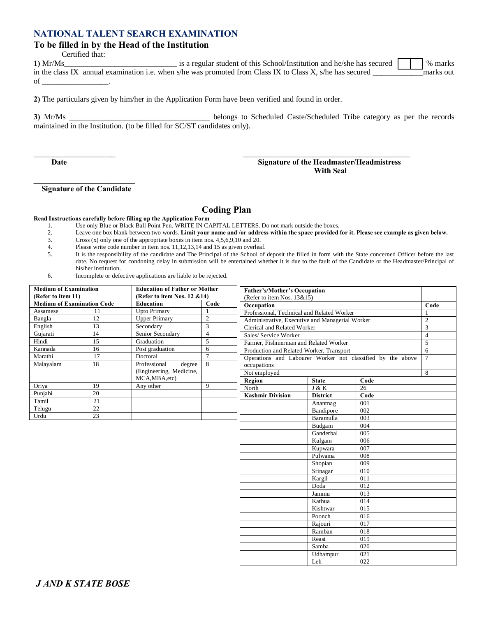### **NATIONAL TALENT SEARCH EXAMINATION**

### **To be filled in by the Head of the Institution**

Certified that:

**1)** Mr/Ms\_\_\_\_\_\_\_\_\_\_\_\_\_\_\_\_\_\_\_\_\_\_\_\_\_\_\_\_\_ is a regular student of this School/Institution and he/she has secured % marks in the class IX annual examination i.e. when s/he was promoted from Class IX to Class X, s/he has secured \_\_\_\_\_\_\_\_\_\_\_\_\_marks out of \_\_\_\_\_\_\_\_\_\_\_\_\_\_\_\_\_.

**2)** The particulars given by him/her in the Application Form have been verified and found in order.

**3)** Mr/Ms belongs to Scheduled Caste/Scheduled Tribe category as per the records maintained in the Institution. (to be filled for SC/ST candidates only).

#### **Date Signature of the Headmaster/Headmistress With Seal**

**\_\_\_\_\_\_\_\_\_\_\_\_\_\_\_\_\_\_\_\_\_\_\_\_\_\_ Signature of the Candidate**

# **Coding Plan**

#### **Read Instructions carefully before filling up the Application Form**

- 1. Use only Blue or Black Ball Point Pen. WRITE IN CAPITAL LETTERS. Do not mark outside the boxes.
- 2. Leave one box blank between two words. **Limit your name and /or address within the space provided for it. Please see example as given below.**
- 3. Cross (x) only one of the appropriate boxes in item nos. 4,5,6,9,10 and 20.
- Please write code number in item nos. 11,12,13,14 and 15 as given overleaf.
- 5. It is the responsibility of the candidate and The Principal of the School of deposit the filled in form with the State concerned Officer before the last date. No request for condoning delay in submission will be entertained whether it is due to the fault of the Candidate or the Headmaster/Principal of his/her institution.
- 6. Incomplete or defective applications are liable to be rejected.

| <b>Medium of Examination</b>         |                                   | <b>Education of Father or Mother</b> |                         |                                          |                                                            | <b>Father's/Mother's Occupation</b> |      |  |  |  |  |
|--------------------------------------|-----------------------------------|--------------------------------------|-------------------------|------------------------------------------|------------------------------------------------------------|-------------------------------------|------|--|--|--|--|
| (Refer to item 11)                   |                                   | (Refer to item Nos. 12 & 14)         |                         | (Refer to item Nos. 13&15)               |                                                            |                                     |      |  |  |  |  |
|                                      | <b>Medium of Examination Code</b> | <b>Education</b>                     | Code<br>1               | Occupation                               |                                                            |                                     |      |  |  |  |  |
| Assamese                             |                                   | <b>Upto Primary</b><br>11            |                         |                                          | Professional, Technical and Related Worker                 |                                     |      |  |  |  |  |
| 12<br>Bangla<br><b>Upper Primary</b> |                                   |                                      | $\overline{c}$          |                                          | Administrative, Executive and Managerial Worker            |                                     |      |  |  |  |  |
| English                              | 13                                | Secondary                            | $\overline{\mathbf{3}}$ |                                          |                                                            | Clerical and Related Worker         |      |  |  |  |  |
| Gujarati                             | 14                                | Senior Secondary                     | $\overline{4}$          |                                          | Sales/ Service Worker                                      |                                     |      |  |  |  |  |
| Hindi                                | 15                                | Graduation                           | 5                       | Farmer, Fishmerman and Related Worker    |                                                            |                                     |      |  |  |  |  |
| Kannada                              | 16                                | Post graduation                      | 6                       | Production and Related Worker, Transport |                                                            |                                     |      |  |  |  |  |
| 17<br>Marathi                        |                                   | Doctoral                             | $\overline{7}$          |                                          | Operations and Labourer Worker not classified by the above |                                     |      |  |  |  |  |
| 18<br>Malayalam                      |                                   | Professional<br>degree               | 8                       |                                          | occupations                                                |                                     |      |  |  |  |  |
|                                      |                                   | (Engineering, Medicine,              |                         |                                          | Not employed                                               |                                     |      |  |  |  |  |
|                                      |                                   | MCA, MBA, etc)                       |                         |                                          | Region                                                     | <b>State</b>                        | Code |  |  |  |  |
| Oriya                                | 19                                | Any other                            | 9                       |                                          | North                                                      | J & K                               | 26   |  |  |  |  |
| Punjabi                              | $\overline{20}$                   |                                      |                         |                                          | <b>Kashmir Division</b>                                    | <b>District</b>                     | Code |  |  |  |  |
| Tamil                                | $\overline{21}$                   |                                      |                         |                                          |                                                            | Anantnag                            | 001  |  |  |  |  |
| Telugu                               | 22                                |                                      |                         |                                          |                                                            | Bandipore                           | 002  |  |  |  |  |
| Urdu                                 | $23\,$                            |                                      |                         |                                          |                                                            | Baramulla                           | 003  |  |  |  |  |
|                                      |                                   |                                      |                         |                                          |                                                            | Budgam                              | 004  |  |  |  |  |
|                                      |                                   |                                      |                         |                                          |                                                            | Ganderbal                           | 005  |  |  |  |  |
|                                      |                                   |                                      |                         |                                          |                                                            | Kulgam                              | 006  |  |  |  |  |
|                                      |                                   |                                      |                         |                                          |                                                            | Kupwara                             | 007  |  |  |  |  |
|                                      |                                   |                                      |                         |                                          |                                                            | Pulwama                             | 008  |  |  |  |  |
|                                      |                                   |                                      |                         |                                          |                                                            | Shopian                             | 009  |  |  |  |  |
|                                      |                                   |                                      |                         |                                          |                                                            | Srinagar                            | 010  |  |  |  |  |
|                                      |                                   |                                      |                         |                                          |                                                            | Kargil                              | 011  |  |  |  |  |
|                                      |                                   |                                      |                         |                                          |                                                            | Doda                                | 012  |  |  |  |  |
|                                      |                                   |                                      |                         |                                          |                                                            | Jammu                               | 013  |  |  |  |  |
|                                      |                                   |                                      |                         |                                          |                                                            | Kathua                              | 014  |  |  |  |  |
|                                      |                                   |                                      |                         |                                          |                                                            | Kishtwar                            | 015  |  |  |  |  |
|                                      |                                   |                                      |                         |                                          |                                                            | Poonch                              | 016  |  |  |  |  |
|                                      |                                   |                                      |                         |                                          |                                                            | Rajouri                             | 017  |  |  |  |  |
|                                      |                                   |                                      |                         |                                          |                                                            | Ramban                              | 018  |  |  |  |  |
|                                      |                                   |                                      |                         |                                          |                                                            | Reasi                               | 019  |  |  |  |  |
|                                      |                                   |                                      |                         |                                          |                                                            | Samba                               | 020  |  |  |  |  |
|                                      |                                   |                                      |                         |                                          |                                                            | Udhampur                            | 021  |  |  |  |  |
|                                      |                                   |                                      |                         |                                          |                                                            | Leh                                 | 022  |  |  |  |  |
|                                      |                                   |                                      |                         |                                          |                                                            |                                     |      |  |  |  |  |